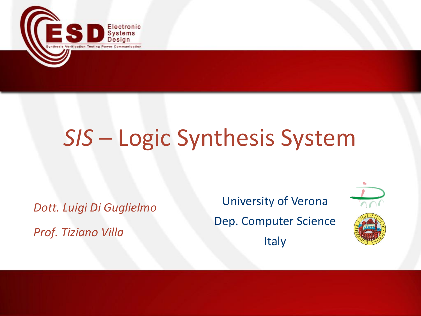

# *SIS* – Logic Synthesis System

*Dott. Luigi Di Guglielmo Prof. Tiziano Villa*

University of Verona Dep. Computer Science Italy

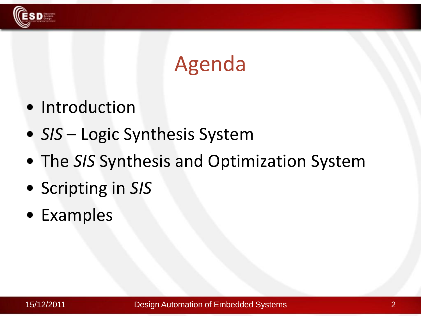

#### Agenda

- Introduction
- *SIS* Logic Synthesis System
- The *SIS* Synthesis and Optimization System
- Scripting in *SIS*
- Examples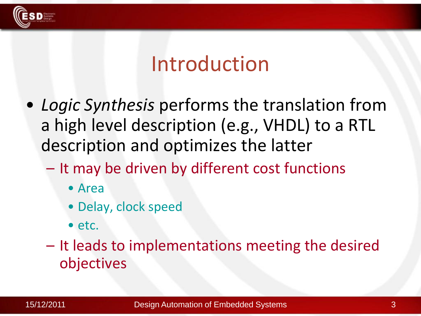

#### Introduction

- *Logic Synthesis* performs the translation from a high level description (e.g., VHDL) to a RTL description and optimizes the latter
	- It may be driven by different cost functions
		- Area
		- Delay, clock speed
		- etc.

– It leads to implementations meeting the desired objectives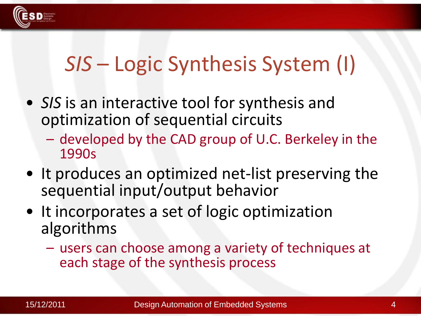

# *SIS* – Logic Synthesis System (I)

- *SIS* is an interactive tool for synthesis and optimization of sequential circuits
	- developed by the CAD group of U.C. Berkeley in the 1990s
- It produces an optimized net-list preserving the sequential input/output behavior
- It incorporates a set of logic optimization algorithms
	- users can choose among a variety of techniques at each stage of the synthesis process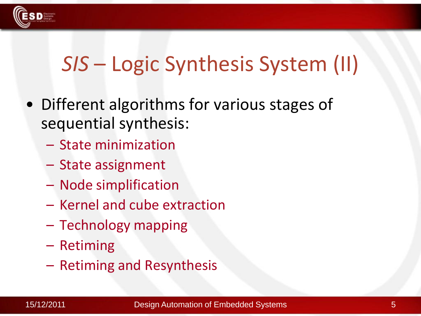

# *SIS* – Logic Synthesis System (II)

- Different algorithms for various stages of sequential synthesis:
	- State minimization
	- State assignment
	- Node simplification
	- Kernel and cube extraction
	- Technology mapping
	- Retiming
	- Retiming and Resynthesis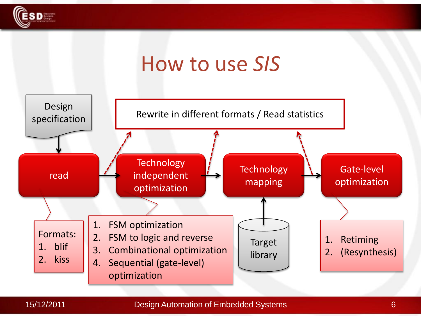

## How to use *SIS*



#### 15/12/2011 6 Design Automation of Embedded Systems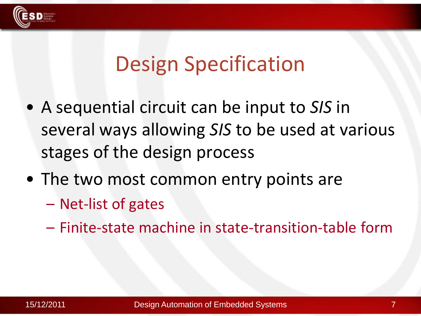

#### Design Specification

- A sequential circuit can be input to *SIS* in several ways allowing *SIS* to be used at various stages of the design process
- The two most common entry points are
	- Net-list of gates
	- Finite-state machine in state-transition-table form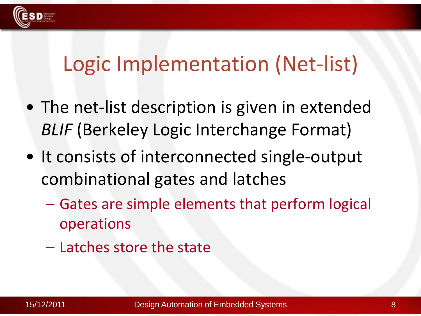

#### Logic Implementation (Net-list)

- The net-list description is given in extended *BLIF* (Berkeley Logic Interchange Format)
- It consists of interconnected single-output combinational gates and latches
	- Gates are simple elements that perform logical operations
	- Latches store the state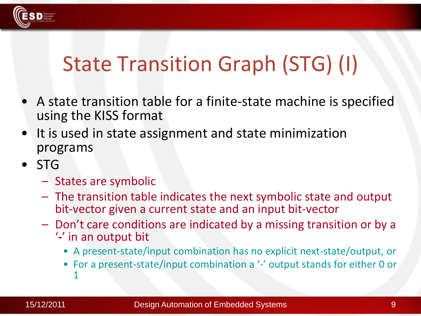

# State Transition Graph (STG) (I)

- A state transition table for a finite-state machine is specified using the KISS format
- It is used in state assignment and state minimization programs
- STG
	- States are symbolic
	- The transition table indicates the next symbolic state and output bit-vector given a current state and an input bit-vector
	- Don't care conditions are indicated by a missing transition or by a
		- '**-**' in an output bit
			- A present-state/input combination has no explicit next-state/output, or
			- For a present-state/input combination a '-' output stands for either 0 or 1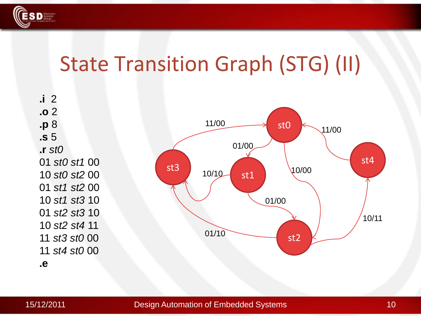

#### State Transition Graph (STG) (II)

**.i** 2 **.o** 2 **.p** 8 **.s** 5 **.r** *st0 st0 st1* 00 *st0 st2* 00 *st1 st2* 00 *st1 st3* 10 *st2 st3* 10 *st2 st4* 11 *st3 st0* 00 *st4 st0* 00



**.e**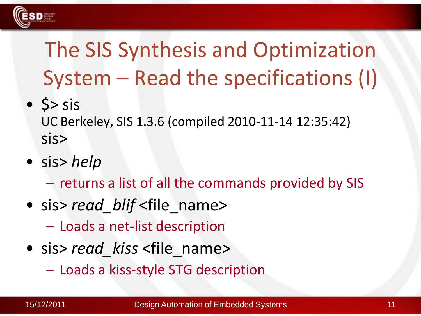

# The SIS Synthesis and Optimization System – Read the specifications (I)

 $\bullet$  \$> sis

UC Berkeley, SIS 1.3.6 (compiled 2010-11-14 12:35:42) sis>

• sis> *help*

– returns a list of all the commands provided by SIS

- sis> *read blif* <file name>
	- Loads a net-list description
- sis> *read kiss* <file name>
	- Loads a kiss-style STG description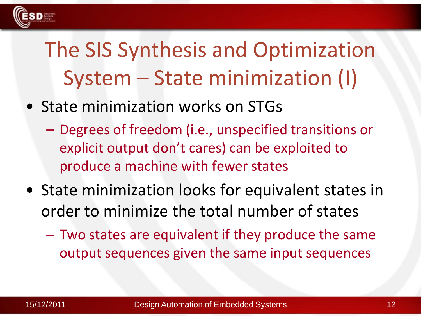

# The SIS Synthesis and Optimization System – State minimization (I)

- State minimization works on STGs
	- Degrees of freedom (i.e., unspecified transitions or explicit output don't cares) can be exploited to produce a machine with fewer states
- State minimization looks for equivalent states in order to minimize the total number of states
	- Two states are equivalent if they produce the same output sequences given the same input sequences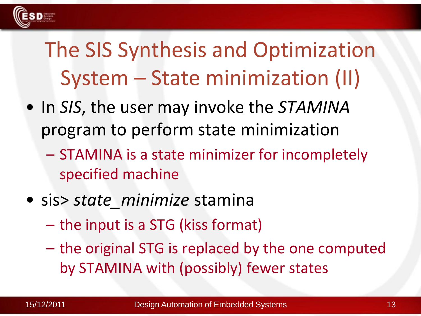

# The SIS Synthesis and Optimization System – State minimization (II)

- In *SIS*, the user may invoke the *STAMINA* program to perform state minimization
	- STAMINA is a state minimizer for incompletely specified machine
- sis> *state\_minimize* stamina
	- the input is a STG (kiss format)
	- the original STG is replaced by the one computed by STAMINA with (possibly) fewer states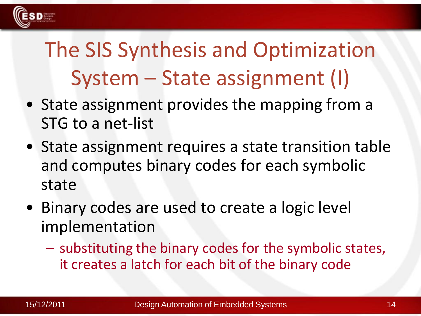

# The SIS Synthesis and Optimization System – State assignment (I)

- State assignment provides the mapping from a STG to a net-list
- State assignment requires a state transition table and computes binary codes for each symbolic state
- Binary codes are used to create a logic level implementation
	- substituting the binary codes for the symbolic states, it creates a latch for each bit of the binary code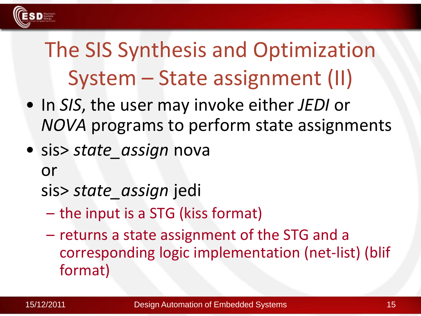

# The SIS Synthesis and Optimization System – State assignment (II)

- In *SIS*, the user may invoke either *JEDI* or *NOVA* programs to perform state assignments
- sis> *state\_assign* nova

or

sis> *state\_assign* jedi

- the input is a STG (kiss format)
- returns a state assignment of the STG and a corresponding logic implementation (net-list) (blif format)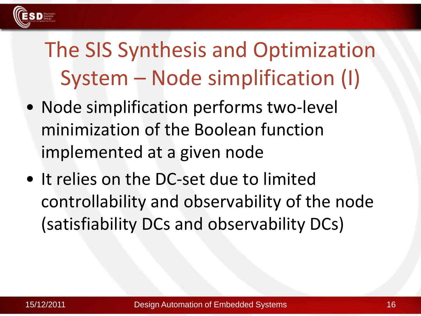

# The SIS Synthesis and Optimization System – Node simplification (I)

- Node simplification performs two-level minimization of the Boolean function implemented at a given node
- It relies on the DC-set due to limited controllability and observability of the node (satisfiability DCs and observability DCs)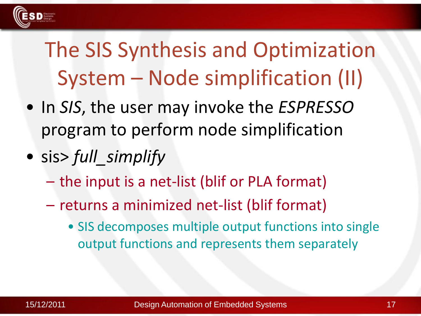

# The SIS Synthesis and Optimization System – Node simplification (II)

- In *SIS*, the user may invoke the *ESPRESSO* program to perform node simplification
- sis> *full\_simplify*
	- the input is a net-list (blif or PLA format)
	- returns a minimized net-list (blif format)
		- SIS decomposes multiple output functions into single output functions and represents them separately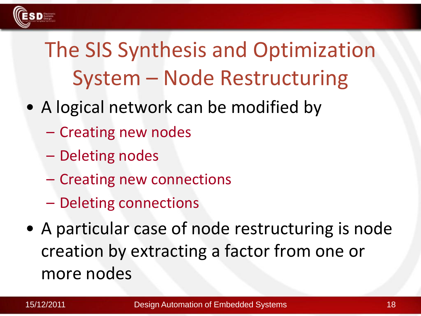

# The SIS Synthesis and Optimization System – Node Restructuring

- A logical network can be modified by
	- Creating new nodes
	- Deleting nodes
	- Creating new connections
	- Deleting connections
- A particular case of node restructuring is node creation by extracting a factor from one or more nodes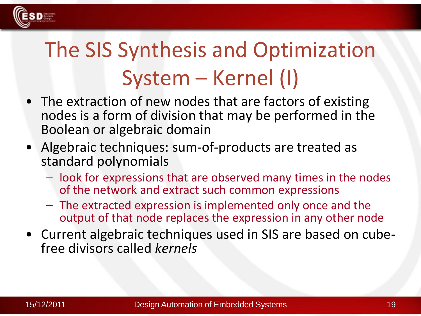

# The SIS Synthesis and Optimization System – Kernel (I)

- The extraction of new nodes that are factors of existing nodes is a form of division that may be performed in the Boolean or algebraic domain
- Algebraic techniques: sum-of-products are treated as standard polynomials
	- look for expressions that are observed many times in the nodes of the network and extract such common expressions
	- The extracted expression is implemented only once and the output of that node replaces the expression in any other node
- Current algebraic techniques used in SIS are based on cubefree divisors called *kernels*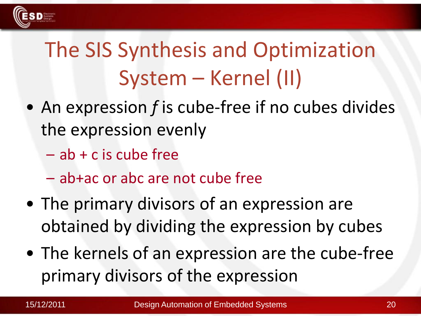

# The SIS Synthesis and Optimization System – Kernel (II)

- An expression *f* is cube-free if no cubes divides the expression evenly
	- $-$  ab  $+$  c is cube free
	- ab+ac or abc are not cube free
- The primary divisors of an expression are obtained by dividing the expression by cubes
- The kernels of an expression are the cube-free primary divisors of the expression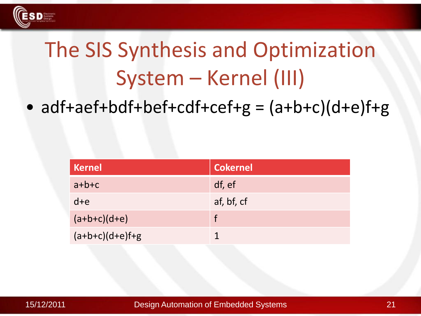

# The SIS Synthesis and Optimization System – Kernel (III)

• adf+aef+bdf+bef+cdf+cef+g =  $(a+b+c)(d+e)$ f+g

| Kernel            | <b>Cokernel</b> |
|-------------------|-----------------|
| $a + b + c$       | df, ef          |
| $d + e$           | af, bf, cf      |
| $(a+b+c)(d+e)$    |                 |
| $(a+b+c)(d+e)f+g$ |                 |



15/12/2011 21 Design Automation of Embedded Systems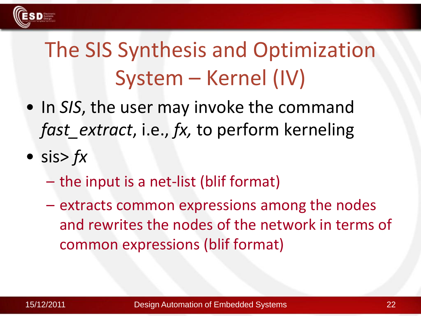

# The SIS Synthesis and Optimization System – Kernel (IV)

- In *SIS*, the user may invoke the command *fast\_extract, i.e., fx, to perform kerneling*
- sis> *fx*
	- the input is a net-list (blif format)
	- extracts common expressions among the nodes and rewrites the nodes of the network in terms of common expressions (blif format)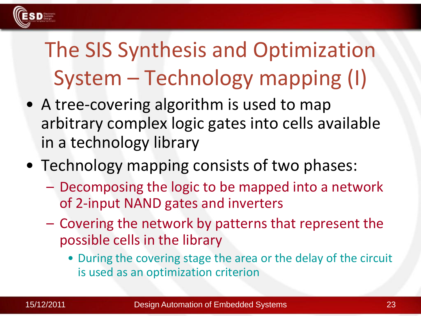

# The SIS Synthesis and Optimization System – Technology mapping (I)

- A tree-covering algorithm is used to map arbitrary complex logic gates into cells available in a technology library
- Technology mapping consists of two phases:
	- Decomposing the logic to be mapped into a network of 2-input NAND gates and inverters
	- Covering the network by patterns that represent the possible cells in the library
		- During the covering stage the area or the delay of the circuit is used as an optimization criterion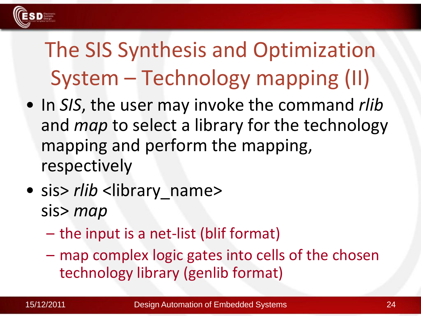

# The SIS Synthesis and Optimization System – Technology mapping (II)

- In *SIS*, the user may invoke the command *rlib* and *map* to select a library for the technology mapping and perform the mapping, respectively
- sis> *rlib* <library name> sis> *map*
	- the input is a net-list (blif format)
	- map complex logic gates into cells of the chosen technology library (genlib format)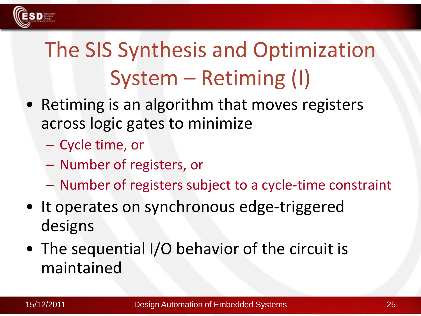

# The SIS Synthesis and Optimization System – Retiming (I)

- Retiming is an algorithm that moves registers across logic gates to minimize
	- Cycle time, or
	- Number of registers, or
	- Number of registers subject to a cycle-time constraint
- It operates on synchronous edge-triggered designs
- The sequential I/O behavior of the circuit is maintained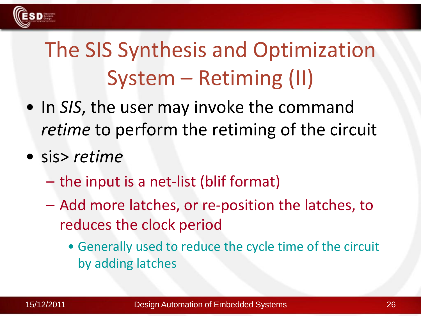

# The SIS Synthesis and Optimization System – Retiming (II)

- In *SIS*, the user may invoke the command *retime* to perform the retiming of the circuit
- sis> *retime*
	- the input is a net-list (blif format)
	- Add more latches, or re-position the latches, to reduces the clock period
		- Generally used to reduce the cycle time of the circuit by adding latches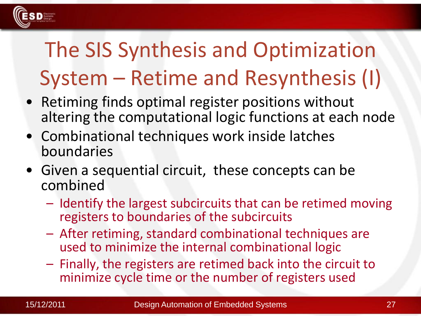

# The SIS Synthesis and Optimization System – Retime and Resynthesis (I)

- Retiming finds optimal register positions without altering the computational logic functions at each node
- Combinational techniques work inside latches boundaries
- Given a sequential circuit, these concepts can be combined
	- Identify the largest subcircuits that can be retimed moving registers to boundaries of the subcircuits
	- After retiming, standard combinational techniques are used to minimize the internal combinational logic
	- Finally, the registers are retimed back into the circuit to minimize cycle time or the number of registers used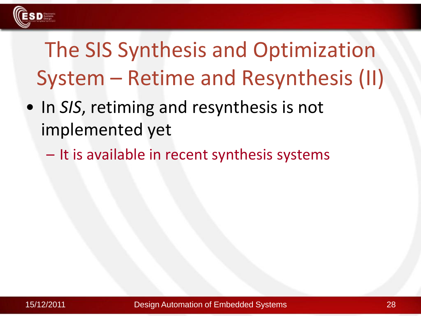

# The SIS Synthesis and Optimization System – Retime and Resynthesis (II)

- In *SIS*, retiming and resynthesis is not implemented yet
	- It is available in recent synthesis systems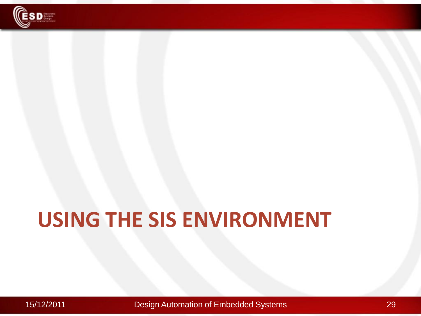

# **USING THE SIS ENVIRONMENT**

15/12/2011 Design Automation of Embedded Systems 29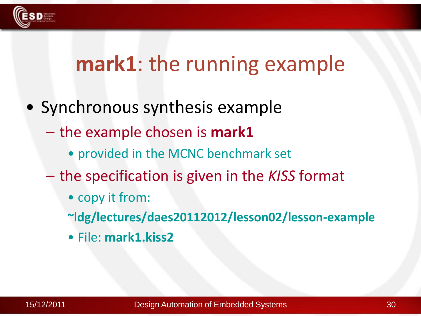

#### **mark1**: the running example

- Synchronous synthesis example
	- the example chosen is **mark1**
		- provided in the MCNC benchmark set
	- the specification is given in the *KISS* format
		- copy it from:

**~ldg/lectures/daes20112012/lesson02/lesson-example**

• File: **mark1.kiss2**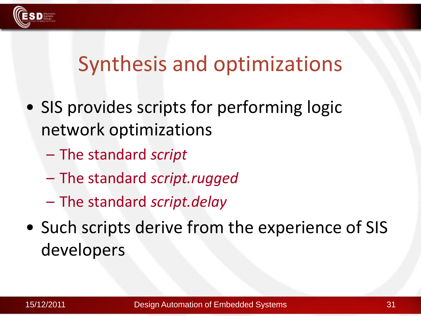

#### Synthesis and optimizations

- SIS provides scripts for performing logic network optimizations
	- The standard *script*
	- The standard *script.rugged*
	- The standard *script.delay*
- Such scripts derive from the experience of SIS developers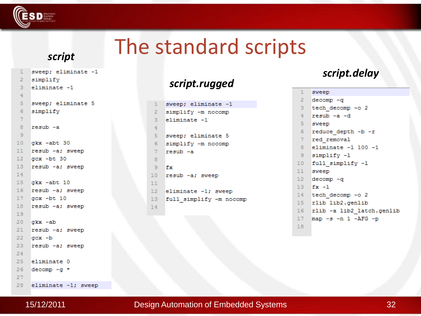

## The standard scripts

#### *script*

```
sweep; eliminate -1
 \mathbf{1}simplify
 \overline{2}3
     eliminate -14
    sweep; eliminate 5
 5
    simplify
 6
 \overline{7}8
     resub-a
 \overline{9}10gkx -abt 30
    resub -a; sweep
11gcx - bt 30
1213resub -a; sweep
14
    gkx - abt 10
15
16resub -a; sweep
    qcx - bt 10
17
    resub -a; sweep
1819
    gkx - ab20
21resub -a; sweep
    qcx -b22resub -a; sweep
23
24
25
     eliminate 0
26
    decomp - q *27
    eliminate -1; sweep
```
#### *script.rugged*

| Ĺ              | sweep; eliminate -1     |
|----------------|-------------------------|
| Ż              | simplify -m nocomp      |
| 3              | eliminate -1            |
| $\frac{1}{2}$  |                         |
| 5              | sweep; eliminate 5      |
| 5              | simplify -m nocomp      |
| 7              | resub -a                |
| ł              |                         |
| Ę              | fx                      |
| J              | resub -a; sweep         |
| L              |                         |
| $\overline{a}$ | eliminate -1; sweep     |
| 3              | full simplify -m nocomp |
| 4              |                         |
|                |                         |

 $\mathbf{1}$ 

#### *script.delay*

| 1               | sweep                     |
|-----------------|---------------------------|
| $2 -$           | $decomp - q$              |
| 3               | tech decomp -o 2          |
| 4               | resub -a -d               |
| 5               | sweep                     |
| 6               | reduce depth -b -r        |
| 7 <sup>7</sup>  | red removal               |
| 8               | eliminate -1 100 -1       |
| 9.              | simplify -1               |
| 10              | full simplify -1          |
| $11 -$          | sweep                     |
| $12 -$          | decomp -q                 |
| $13 -$          | $fx - 1$                  |
| 14              | tech decomp -o 2          |
| 15 <sub>1</sub> | rlib lib2.qenlib          |
| $16 -$          | rlib -a lib2 latch.genlib |
| 17              | map -s -n 1 -AFG -p       |
| 1 9             |                           |

28

#### 15/12/2011 32 Design Automation of Embedded Systems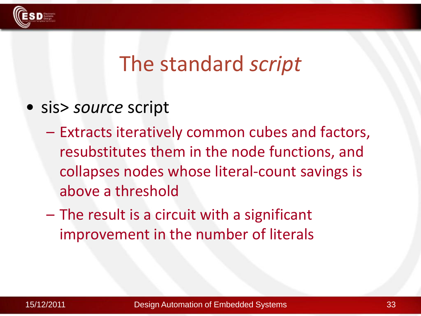

#### The standard *script*

- sis> *source* script
	- Extracts iteratively common cubes and factors, resubstitutes them in the node functions, and collapses nodes whose literal-count savings is above a threshold
	- The result is a circuit with a significant improvement in the number of literals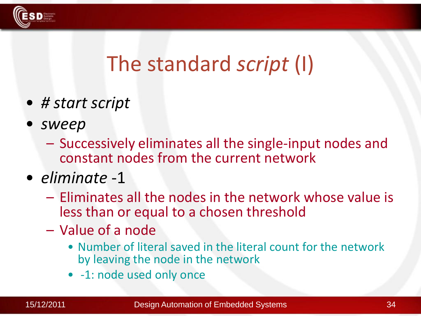

#### The standard *script* (I)

- *# start script*
- *sweep*
	- Successively eliminates all the single-input nodes and constant nodes from the current network
- *eliminate* -1
	- Eliminates all the nodes in the network whose value is less than or equal to a chosen threshold
	- Value of a node
		- Number of literal saved in the literal count for the network by leaving the node in the network
		- -1: node used only once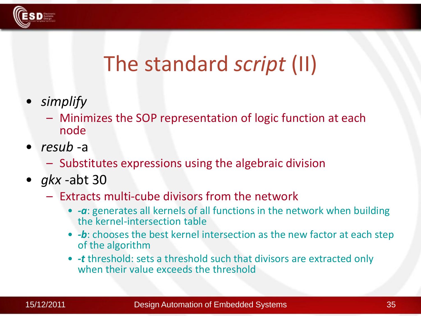

## The standard *script* (II)

- *simplify*
	- Minimizes the SOP representation of logic function at each node
- *resub* -a
	- Substitutes expressions using the algebraic division
- *gkx* -abt 30
	- Extracts multi-cube divisors from the network
		- *-a*: generates all kernels of all functions in the network when building the kernel-intersection table
		- *-b*: chooses the best kernel intersection as the new factor at each step of the algorithm
		- *-t* threshold: sets a threshold such that divisors are extracted only when their value exceeds the threshold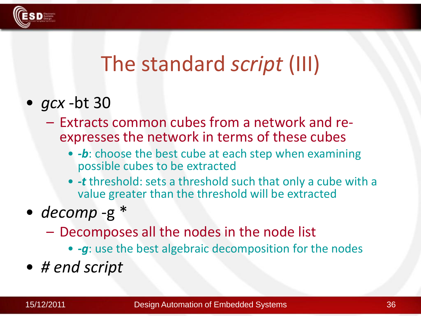

## The standard *script* (III)

- *gcx* -bt 30
	- Extracts common cubes from a network and reexpresses the network in terms of these cubes
		- *-b*: choose the best cube at each step when examining possible cubes to be extracted
		- *-t* threshold: sets a threshold such that only a cube with a value greater than the threshold will be extracted
- *decomp* -g \*
	- Decomposes all the nodes in the node list
		- *-g*: use the best algebraic decomposition for the nodes
- *# end script*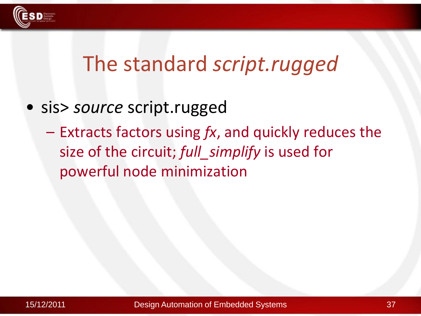

#### The standard *script.rugged*

- sis> *source* script.rugged
	- Extracts factors using *fx*, and quickly reduces the size of the circuit; *full\_simplify* is used for powerful node minimization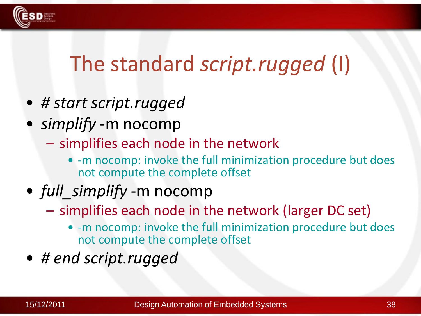

# The standard *script.rugged* (I)

- *# start script.rugged*
- *simplify* -m nocomp
	- simplifies each node in the network
		- -m nocomp: invoke the full minimization procedure but does not compute the complete offset
- *full simplify* -m nocomp
	- simplifies each node in the network (larger DC set)
		- -m nocomp: invoke the full minimization procedure but does not compute the complete offset
- *# end script.rugged*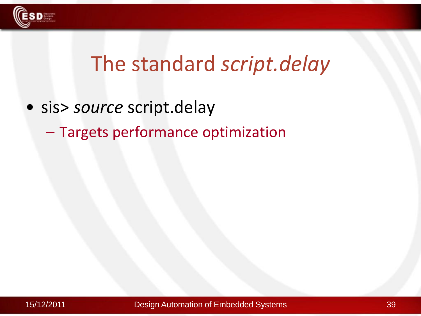

## The standard *script.delay*

- sis> *source* script.delay
	- Targets performance optimization

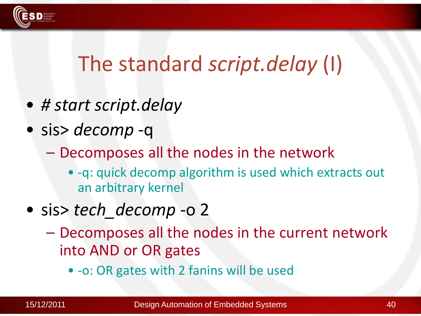

# The standard *script.delay* (I)

- *# start script.delay*
- sis> *decomp* -q
	- Decomposes all the nodes in the network
		- -q: quick decomp algorithm is used which extracts out an arbitrary kernel
- sis> *tech\_decomp* -o 2
	- Decomposes all the nodes in the current network into AND or OR gates
		- -o: OR gates with 2 fanins will be used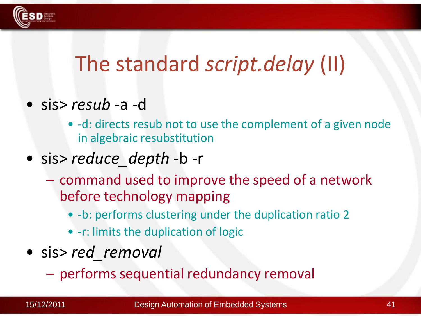

# The standard *script.delay* (II)

- sis> *resub* -a -d
	- -d: directs resub not to use the complement of a given node in algebraic resubstitution

#### • sis> *reduce\_depth* -b -r

- command used to improve the speed of a network before technology mapping
	- -b: performs clustering under the duplication ratio 2
	- -r: limits the duplication of logic
- sis> *red\_removal*
	- performs sequential redundancy removal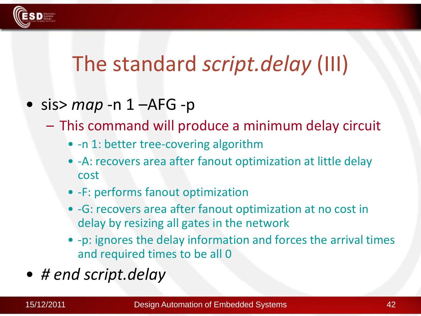

# The standard *script.delay* (III)

- sis> *map* -n 1 –AFG -p
	- This command will produce a minimum delay circuit
		- -n 1: better tree-covering algorithm
		- -A: recovers area after fanout optimization at little delay cost
		- -F: performs fanout optimization
		- -G: recovers area after fanout optimization at no cost in delay by resizing all gates in the network
		- -p: ignores the delay information and forces the arrival times and required times to be all 0
- *# end script.delay*